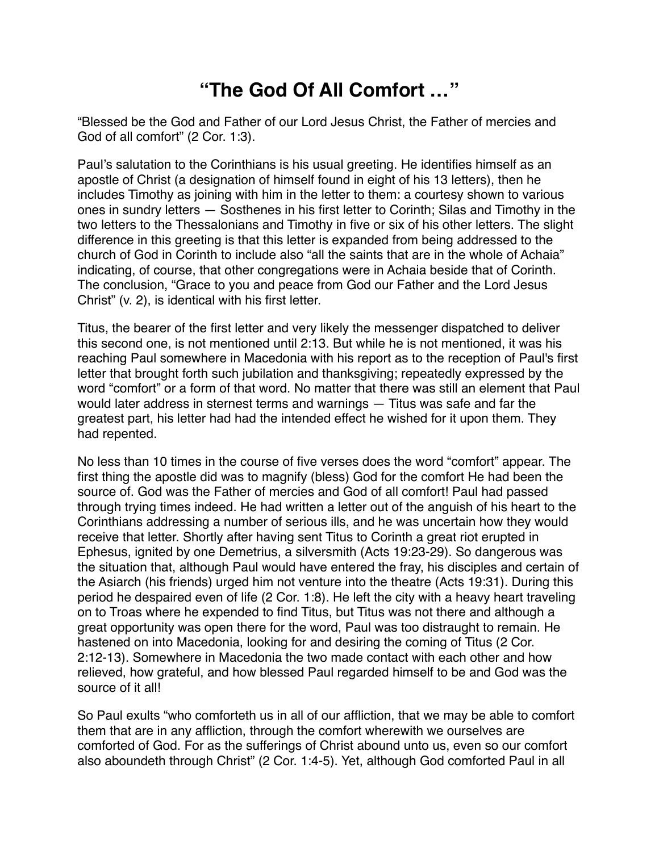## **"The God Of All Comfort …"**

"Blessed be the God and Father of our Lord Jesus Christ, the Father of mercies and God of all comfort" (2 Cor. 1:3).

Paul's salutation to the Corinthians is his usual greeting. He identifies himself as an apostle of Christ (a designation of himself found in eight of his 13 letters), then he includes Timothy as joining with him in the letter to them: a courtesy shown to various ones in sundry letters — Sosthenes in his first letter to Corinth; Silas and Timothy in the two letters to the Thessalonians and Timothy in five or six of his other letters. The slight difference in this greeting is that this letter is expanded from being addressed to the church of God in Corinth to include also "all the saints that are in the whole of Achaia" indicating, of course, that other congregations were in Achaia beside that of Corinth. The conclusion, "Grace to you and peace from God our Father and the Lord Jesus Christ" (v. 2), is identical with his first letter.

Titus, the bearer of the first letter and very likely the messenger dispatched to deliver this second one, is not mentioned until 2:13. But while he is not mentioned, it was his reaching Paul somewhere in Macedonia with his report as to the reception of Paul's first letter that brought forth such jubilation and thanksgiving; repeatedly expressed by the word "comfort" or a form of that word. No matter that there was still an element that Paul would later address in sternest terms and warnings — Titus was safe and far the greatest part, his letter had had the intended effect he wished for it upon them. They had repented.

No less than 10 times in the course of five verses does the word "comfort" appear. The first thing the apostle did was to magnify (bless) God for the comfort He had been the source of. God was the Father of mercies and God of all comfort! Paul had passed through trying times indeed. He had written a letter out of the anguish of his heart to the Corinthians addressing a number of serious ills, and he was uncertain how they would receive that letter. Shortly after having sent Titus to Corinth a great riot erupted in Ephesus, ignited by one Demetrius, a silversmith (Acts 19:23-29). So dangerous was the situation that, although Paul would have entered the fray, his disciples and certain of the Asiarch (his friends) urged him not venture into the theatre (Acts 19:31). During this period he despaired even of life (2 Cor. 1:8). He left the city with a heavy heart traveling on to Troas where he expended to find Titus, but Titus was not there and although a great opportunity was open there for the word, Paul was too distraught to remain. He hastened on into Macedonia, looking for and desiring the coming of Titus (2 Cor. 2:12-13). Somewhere in Macedonia the two made contact with each other and how relieved, how grateful, and how blessed Paul regarded himself to be and God was the source of it all!

So Paul exults "who comforteth us in all of our affliction, that we may be able to comfort them that are in any affliction, through the comfort wherewith we ourselves are comforted of God. For as the sufferings of Christ abound unto us, even so our comfort also aboundeth through Christ" (2 Cor. 1:4-5). Yet, although God comforted Paul in all